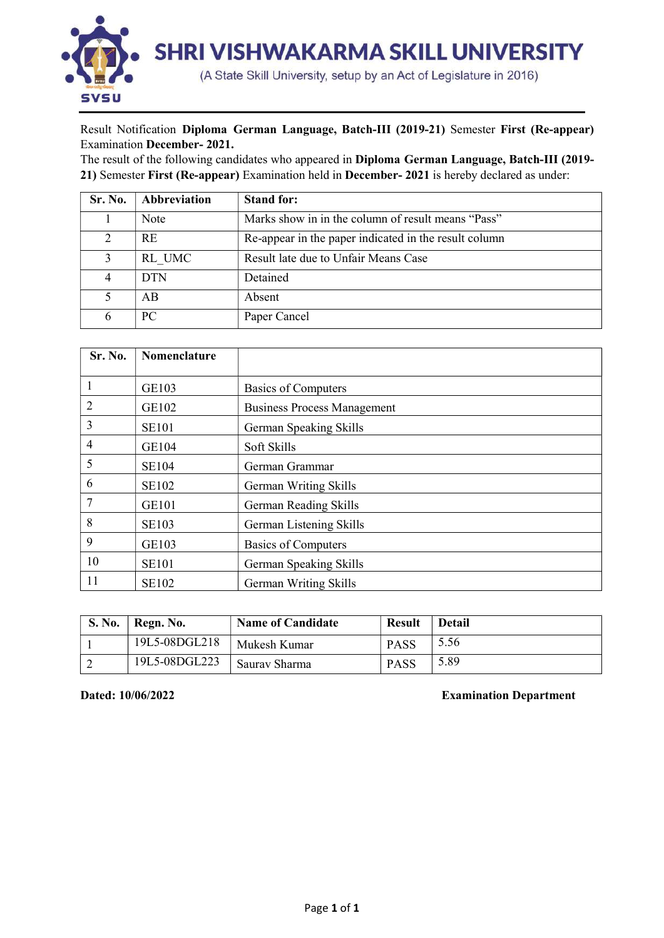

## Result Notification Diploma German Language, Batch-III (2019-21) Semester First (Re-appear) Examination December- 2021.

The result of the following candidates who appeared in Diploma German Language, Batch-III (2019- 21) Semester First (Re-appear) Examination held in December- 2021 is hereby declared as under:

| Sr. No. | Abbreviation | <b>Stand for:</b>                                     |
|---------|--------------|-------------------------------------------------------|
|         | Note         | Marks show in in the column of result means "Pass"    |
|         | <b>RE</b>    | Re-appear in the paper indicated in the result column |
|         | RL UMC       | Result late due to Unfair Means Case                  |
|         | <b>DTN</b>   | Detained                                              |
|         | AB           | Absent                                                |
|         | PC.          | Paper Cancel                                          |

| Sr. No.        | Nomenclature |                                    |
|----------------|--------------|------------------------------------|
|                |              |                                    |
| 1              | GE103        | <b>Basics of Computers</b>         |
| $\overline{2}$ | GE102        | <b>Business Process Management</b> |
| 3              | <b>SE101</b> | German Speaking Skills             |
| $\overline{4}$ | GE104        | Soft Skills                        |
| 5              | <b>SE104</b> | German Grammar                     |
| 6              | <b>SE102</b> | German Writing Skills              |
| 7              | GE101        | German Reading Skills              |
| 8              | <b>SE103</b> | German Listening Skills            |
| 9              | GE103        | <b>Basics of Computers</b>         |
| 10             | <b>SE101</b> | German Speaking Skills             |
| 11             | <b>SE102</b> | German Writing Skills              |

| S. No. | Regn. No.     | <b>Name of Candidate</b> | <b>Result</b> | <b>Detail</b> |
|--------|---------------|--------------------------|---------------|---------------|
|        | 19L5-08DGL218 | Mukesh Kumar             | <b>PASS</b>   | 5.56          |
|        | 19L5-08DGL223 | Saurav Sharma            | <b>PASS</b>   | 5.89          |

Dated: 10/06/2022 Examination Department